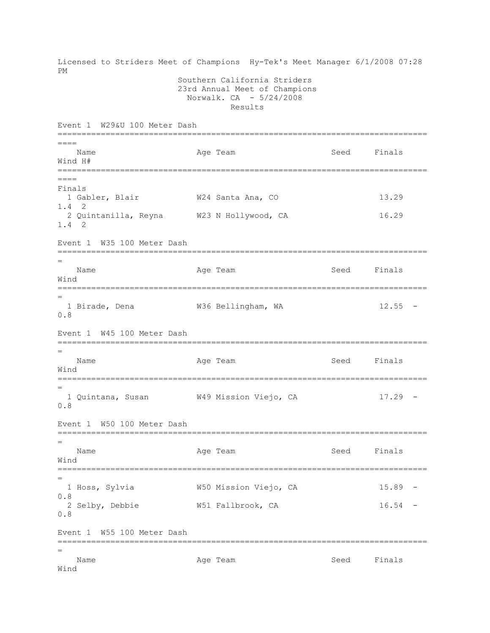Licensed to Striders Meet of Champions Hy-Tek's Meet Manager 6/1/2008 07:28 PM Southern California Striders 23rd Annual Meet of Champions Norwalk. CA - 5/24/2008 Results Event 1 W29&U 100 Meter Dash ============================================================================= ==== Name Age Team Seed Finals Wind H# =============================================================================  $----$ Finals 1 Gabler, Blair **W24 Santa Ana, CO** 13.29 1.4 2 2 Quintanilla, Reyna W23 N Hollywood, CA 16.29 1.4 2 Event 1 W35 100 Meter Dash ============================================================================= = Name Age Team Seed Finals Wind ============================================================================= = 1 Birade, Dena W36 Bellingham, WA 12.55 - 0.8 Event 1 W45 100 Meter Dash ============================================================================= = Name **Age Team** Age Team Seed Finals Wind ============================================================================= = 1 Quintana, Susan W49 Mission Viejo, CA 17.29 - 0.8 Event 1 W50 100 Meter Dash ============================================================================= = Name **Age Team** Age Team Seed Finals Wind ============================================================================= = 1 Hoss, Sylvia W50 Mission Viejo, CA 15.89 - 0.8 2 Selby, Debbie W51 Fallbrook, CA 16.54 - 0.8 Event 1 W55 100 Meter Dash ============================================================================= = Name **Age Team** Age Team Seed Finals Wind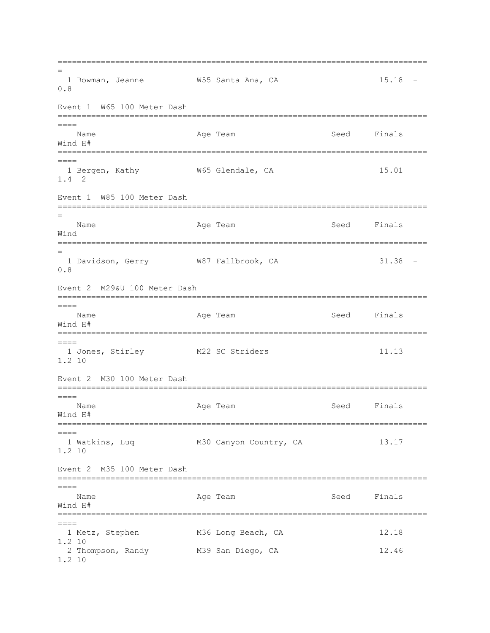============================================================================= = 1 Bowman, Jeanne M55 Santa Ana, CA 15.18 -0.8 Event 1 W65 100 Meter Dash ============================================================================= ==== Name **Age Team** Age Team Seed Finals Wind H# ============================================================================= ==== 1 Bergen, Kathy M65 Glendale, CA 15.01 1.4 2 Event 1 W85 100 Meter Dash ============================================================================= = Name **Age Team** Age Team Seed Finals Wind ============================================================================= = 1 Davidson, Gerry W87 Fallbrook, CA 31.38 -0.8 Event 2 M29&U 100 Meter Dash =============================================================================  $=$ Name Age Team Age Team Seed Finals Wind H# ============================================================================= ==== 1 Jones, Stirley M22 SC Striders 11.13 1.2 10 Event 2 M30 100 Meter Dash =============================================================================  $=$ Name **Age Team** Age Team Seed Finals Wind H# ============================================================================= ==== 1 Watkins, Luq M30 Canyon Country, CA 13.17 1.2 10 Event 2 M35 100 Meter Dash =============================================================================  $=$ Name **Age Team** Age Team Seed Finals Wind H# ============================================================================= ==== 1 Metz, Stephen M36 Long Beach, CA 12.18 1.2 10 2 Thompson, Randy M39 San Diego, CA 12.46 1.2 10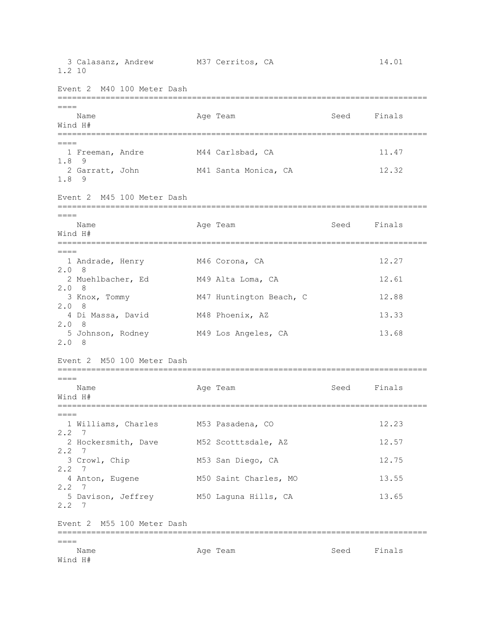| 3 Calasanz, Andrew M37 Cerritos, CA<br>1.2 10                        |                                               |             | 14.01          |
|----------------------------------------------------------------------|-----------------------------------------------|-------------|----------------|
| Event 2 M40 100 Meter Dash                                           |                                               |             |                |
| $====$<br>Name<br>Wind H#                                            | Age Team                                      | Seed        | Finals         |
| $=====$<br>1 Freeman, Andre<br>$1.8$ 9<br>2 Garratt, John<br>$1.8$ 9 | M44 Carlsbad, CA<br>M41 Santa Monica, CA      |             | 11.47<br>12.32 |
| Event 2 M45 100 Meter Dash                                           |                                               |             |                |
| $====$<br>Name<br>Wind H#                                            | Age Team                                      | Seed Finals |                |
| $====$<br>1 Andrade, Henry<br>2.08<br>2 Muehlbacher, Ed              | M46 Corona, CA<br>M49 Alta Loma, CA           |             | 12.27<br>12.61 |
| 2.08<br>3 Knox, Tommy<br>2.08                                        | M47 Huntington Beach, C                       |             | 12.88<br>13.33 |
| 4 Di Massa, David<br>2.08<br>5 Johnson, Rodney<br>2.08               | M48 Phoenix, AZ<br>M49 Los Angeles, CA        |             | 13.68          |
| Event 2 M50 100 Meter Dash                                           |                                               |             |                |
| $====$<br>Name<br>Wind H#                                            | Age Team                                      | Seed Finals |                |
| $====$<br>1 Williams, Charles<br>2.2<br>7                            | M53 Pasadena, CO                              |             | 12.23          |
| 2 Hockersmith, Dave<br>2, 2<br>- 7                                   | M52 Scotttsdale, AZ                           |             | 12.57          |
| 3 Crowl, Chip<br>2.2<br>7                                            | M53 San Diego, CA                             |             | 12.75          |
| 4 Anton, Eugene<br>2.2<br>- 7<br>5 Davison, Jeffrey<br>$2.2 \quad 7$ | M50 Saint Charles, MO<br>M50 Laguna Hills, CA |             | 13.55<br>13.65 |
| Event 2 M55 100 Meter Dash                                           |                                               |             |                |
| $====$<br>Name<br>Wind H#                                            | Age Team                                      | Seed        | Finals         |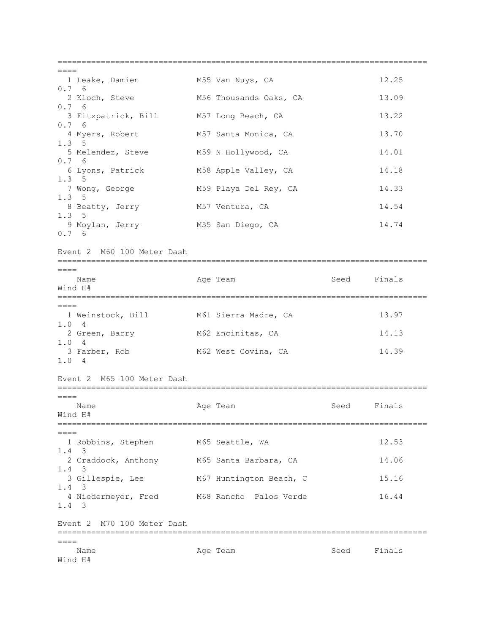=============================================================================  $=$ 1 Leake, Damien M55 Van Nuys, CA 12.25 0.7 6 2 Kloch, Steve M56 Thousands Oaks, CA 13.09 0.7 6 3 Fitzpatrick, Bill M57 Long Beach, CA 13.22 0.7 6 4 Myers, Robert M57 Santa Monica, CA 13.70 1.3 5 5 Melendez, Steve M59 N Hollywood, CA 14.01 0.7 6 6 Lyons, Patrick M58 Apple Valley, CA 14.18 1.3 5 7 Wong, George 61 M59 Playa Del Rey, CA 614.33 1.3 5 8 Beatty, Jerry M57 Ventura, CA 14.54 1.3 5 9 Moylan, Jerry M55 San Diego, CA 14.74 0.7 6 Event 2 M60 100 Meter Dash =============================================================================  $----$ Name **Age Team** Age Team Seed Finals Wind H# =============================================================================  $=$ 1 Weinstock, Bill M61 Sierra Madre, CA 13.97 1.0 4 2 Green, Barry M62 Encinitas, CA 14.13 1.0 4 3 Farber, Rob M62 West Covina, CA 14.39 1.0 4 Event 2 M65 100 Meter Dash =============================================================================  $=$ Name **Age Team** Age Team Seed Finals Wind H# ============================================================================= ==== 1 Robbins, Stephen M65 Seattle, WA 12.53 1.4 3 2 Craddock, Anthony M65 Santa Barbara, CA 14.06 1.4 3 3 Gillespie, Lee M67 Huntington Beach, C 15.16 1.4 3 4 Niedermeyer, Fred M68 Rancho Palos Verde 16.44 1.4 3 Event 2 M70 100 Meter Dash =============================================================================  $=$ Name **Age Team** Age Team Seed Finals Wind H#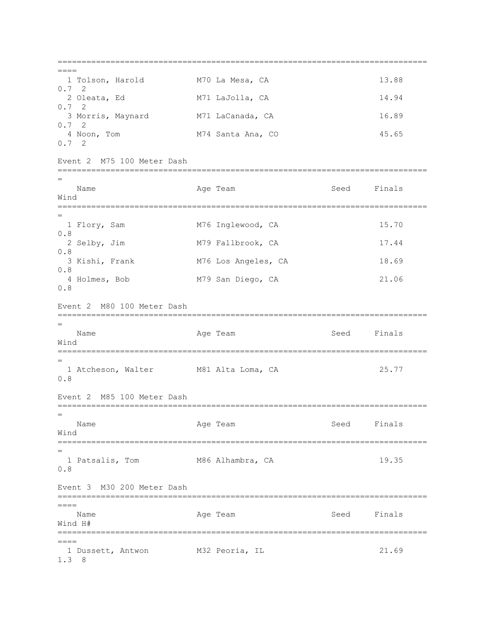=============================================================================  $=$  1 Tolson, Harold M70 La Mesa, CA 13.88 0.7 2 2 Oleata, Ed M71 LaJolla, CA 14.94 0.7 2 3 Morris, Maynard M71 LaCanada, CA 16.89 0.7 2 4 Noon, Tom M74 Santa Ana, CO 45.65 0.7 2 Event 2 M75 100 Meter Dash ============================================================================= = Name **Age Team** Age Team Seed Finals Wind ============================================================================= = 1 Flory, Sam M76 Inglewood, CA 15.70 0.8 2 Selby, Jim M79 Fallbrook, CA 17.44 0.8 3 Kishi, Frank M76 Los Angeles, CA 18.69 0.8 4 Holmes, Bob M79 San Diego, CA 21.06 0.8 Event 2 M80 100 Meter Dash ============================================================================= = Name **Age Team** Age Team Seed Finals Wind ============================================================================= = 1 Atcheson, Walter M81 Alta Loma, CA 25.77 0.8 Event 2 M85 100 Meter Dash ============================================================================= = Name **Age Team** Age Team Seed Finals Wind ============================================================================= = 1 Patsalis, Tom M86 Alhambra, CA 19.35 0.8 Event 3 M30 200 Meter Dash =============================================================================  $=$ Name Age Team Age Team Seed Finals Wind H# =============================================================================  $=$ 1 Dussett, Antwon M32 Peoria, IL 21.69 1.3 8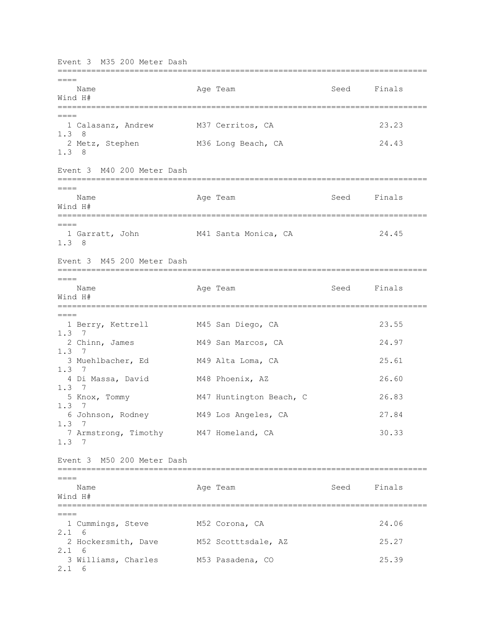Event 3 M35 200 Meter Dash =============================================================================  $----$ Name **Age Team** Age Team Seed Finals Wind H# ============================================================================= ==== 1 Calasanz, Andrew M37 Cerritos, CA 23.23 1.3 8 2 Metz, Stephen M36 Long Beach, CA 24.43 1.3 8 Event 3 M40 200 Meter Dash =============================================================================  $=$ Name Age Team Age Team Seed Finals Wind H# =============================================================================  $----$  1 Garratt, John M41 Santa Monica, CA 24.45 1.3 8 Event 3 M45 200 Meter Dash =============================================================================  $====$ Name **Age Team** Seed Finals Wind H# ============================================================================= ==== 1 Berry, Kettrell M45 San Diego, CA 23.55 1.3 7 2 Chinn, James M49 San Marcos, CA 24.97 1.3 7 3 Muehlbacher, Ed M49 Alta Loma, CA 25.61 1.3 7 4 Di Massa, David M48 Phoenix, AZ 26.60 1.3 7 5 Knox, Tommy M47 Huntington Beach, C 26.83 1.3 7 6 Johnson, Rodney M49 Los Angeles, CA 27.84 1.3 7 7 Armstrong, Timothy M47 Homeland, CA 30.33 1.3 7 Event 3 M50 200 Meter Dash =============================================================================  $---$ Name **Age Team** Age Team Seed Finals Wind H# =============================================================================  $----$  1 Cummings, Steve M52 Corona, CA 24.06 2.1 6 2 Hockersmith, Dave M52 Scotttsdale, AZ 25.27 2.1 6 3 Williams, Charles M53 Pasadena, CO 25.39 2.1 6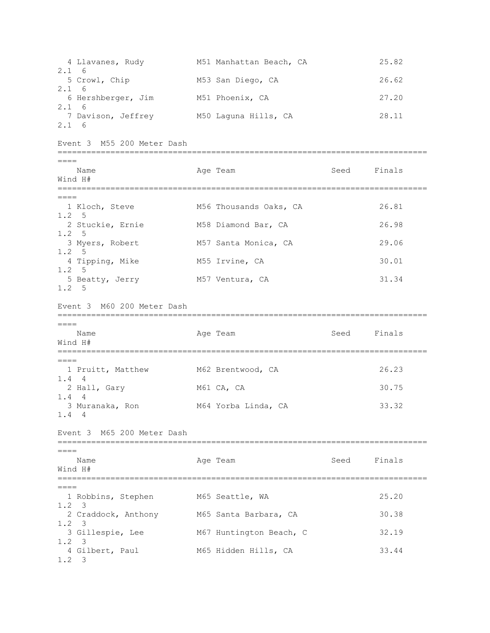4 Llavanes, Rudy M51 Manhattan Beach, CA 25.82 2.1 6 5 Crowl, Chip M53 San Diego, CA 26.62 2.1 6 6 Hershberger, Jim M51 Phoenix, CA 27.20 2.1 6 7 Davison, Jeffrey M50 Laquna Hills, CA 28.11 2.1 6 Event 3 M55 200 Meter Dash =============================================================================  $=$ Name **Age Team Age Team** Seed Finals Wind H# =============================================================================  $=$  1 Kloch, Steve M56 Thousands Oaks, CA 26.81 1.2 5 2 Stuckie, Ernie M58 Diamond Bar, CA 26.98 1.2 5 3 Myers, Robert M57 Santa Monica, CA 29.06 1.2 5 4 Tipping, Mike M55 Irvine, CA 30.01 1.2 5 5 Beatty, Jerry M57 Ventura, CA 31.34 1.2 5 Event 3 M60 200 Meter Dash =============================================================================  $----$ Name **Age Team** Age Team Seed Finals Wind H# =============================================================================  $====$ 1 Pruitt, Matthew M62 Brentwood, CA 26.23 1.4 4 2 Hall, Gary 61 M61 CA, CA 30.75 1.4 4 3 Muranaka, Ron 33.32 1.4 4 Event 3 M65 200 Meter Dash =============================================================================  $====$ Name **Age Team** Age Team Seed Finals Wind H# =============================================================================  $=$  1 Robbins, Stephen M65 Seattle, WA 25.20 1.2 3 2 Craddock, Anthony M65 Santa Barbara, CA 30.38 1.2 3 3 Gillespie, Lee M67 Huntington Beach, C 32.19 1.2 3 4 Gilbert, Paul M65 Hidden Hills, CA 33.44 1.2 3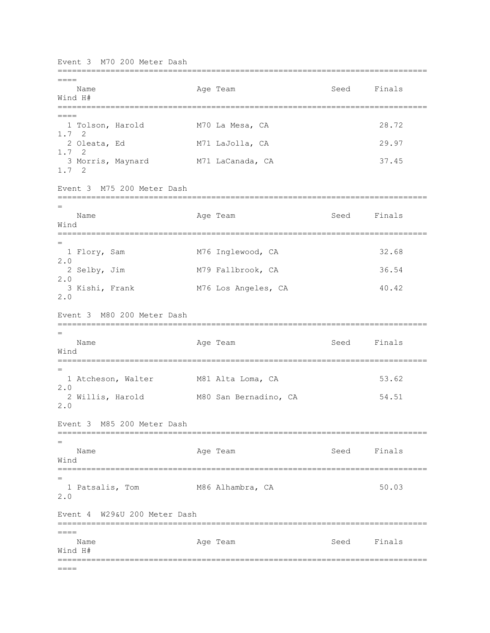Event 3 M70 200 Meter Dash =============================================================================  $----$ Name **Age Team** Age Team Seed Finals Wind H# ============================================================================= ==== 1 Tolson, Harold M70 La Mesa, CA 28.72 1.7 2 2 Oleata, Ed M71 LaJolla, CA 29.97 1.7 2 3 Morris, Maynard M71 LaCanada, CA 37.45 1.7 2 Event 3 M75 200 Meter Dash ============================================================================= = Name Age Team Age Team Seed Finals Wind ============================================================================= = 1 Flory, Sam M76 Inglewood, CA 32.68 2.0 2 Selby, Jim M79 Fallbrook, CA 36.54 2.0 3 Kishi, Frank M76 Los Angeles, CA 40.42 2.0 Event 3 M80 200 Meter Dash ============================================================================= = Name **Age Team** Age Team Seed Finals Wind ============================================================================= = 1 Atcheson, Walter M81 Alta Loma, CA 53.62 2.0 2 Willis, Harold M80 San Bernadino, CA 54.51 2.0 Event 3 M85 200 Meter Dash ============================================================================= = Name **Age Team** Age Team Seed Finals Wind ============================================================================= = 1 Patsalis, Tom M86 Alhambra, CA 50.03 2.0 Event 4 W29&U 200 Meter Dash =============================================================================  $====$ Name Age Team Seed Finals Wind H# =============================================================================  $====$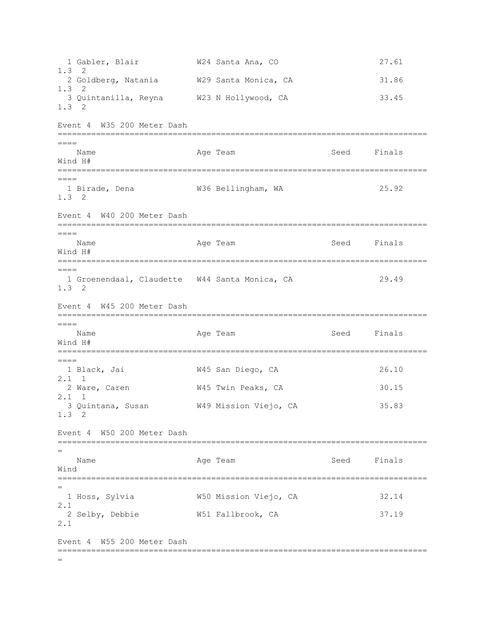1 Gabler, Blair W24 Santa Ana, CO 27.61 1.3 2 2 Goldberg, Natania W29 Santa Monica, CA 31.86 1.3 2 3 Quintanilla, Reyna W23 N Hollywood, CA 33.45 1.3 2 Event 4 W35 200 Meter Dash =============================================================================  $----$ Name **Age Team** Age Team Seed Finals Wind H# =============================================================================  $----$ 1 Birade, Dena  $W36$  Bellingham, WA 25.92 1.3 2 Event 4 W40 200 Meter Dash =============================================================================  $----$ Name **Age Team** Age Team Seed Finals Wind H# ============================================================================= ==== 1 Groenendaal, Claudette W44 Santa Monica, CA 29.49 1.3 2 Event 4 W45 200 Meter Dash =============================================================================  $----$ Name **Age Team** Age Team Seed Finals Wind H# =============================================================================  $====$  1 Black, Jai W45 San Diego, CA 26.10 2.1 1 2 Ware, Caren M45 Twin Peaks, CA 30.15 2.1 1 3 Quintana, Susan W49 Mission Viejo, CA 35.83 1.3 2 Event 4 W50 200 Meter Dash ============================================================================= = Name **Age Team** Age Team Seed Finals Wind ============================================================================= = 1 Hoss, Sylvia W50 Mission Viejo, CA 32.14 2.1 2 Selby, Debbie W51 Fallbrook, CA 37.19 2.1 Event 4 W55 200 Meter Dash ============================================================================= =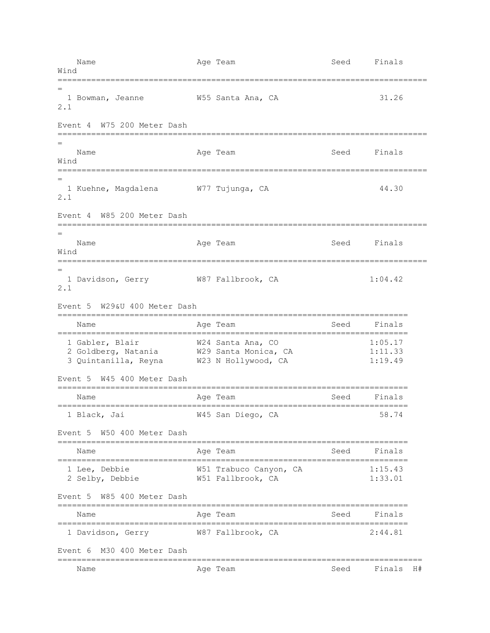Name **Age Team** Age Team Seed Finals Wind ============================================================================= = 1 Bowman, Jeanne W55 Santa Ana, CA 31.26 2.1 Event 4 W75 200 Meter Dash ============================================================================= = Name **Age Team** Age Team Seed Finals Wind ============================================================================= = 1 Kuehne, Magdalena W77 Tujunga, CA 44.30 2.1 Event 4 W85 200 Meter Dash ============================================================================= = Name **Age Team** Age Team Seed Finals Wind ============================================================================= = 1 Davidson, Gerry W87 Fallbrook, CA 1:04.42 2.1 Event 5 W29&U 400 Meter Dash ========================================================================= Name Register Age Team Name Seed Finals ========================================================================= 1 Gabler, Blair W24 Santa Ana, CO 1:05.17 2 Goldberg, Natania  $W29$  Santa Monica, CA 1:11.33 3 Quintanilla, Reyna W23 N Hollywood, CA 1:19.49 Event 5 W45 400 Meter Dash ========================================================================= Name Age Team Age Team Seed Finals ========================================================================= 1 Black, Jai W45 San Diego, CA 58.74 Event 5 W50 400 Meter Dash ========================================================================= Name Age Team Seed Finals ========================================================================= 1 Lee, Debbie W51 Trabuco Canyon, CA 1:15.43 2 Selby, Debbie W51 Fallbrook, CA 1:33.01 Event 5 W85 400 Meter Dash ========================================================================= Name **Age Team** Age Team Seed Finals ========================================================================= 1 Davidson, Gerry W87 Fallbrook, CA 2:44.81 Event 6 M30 400 Meter Dash ============================================================================ Name Age Team Seed Finals H#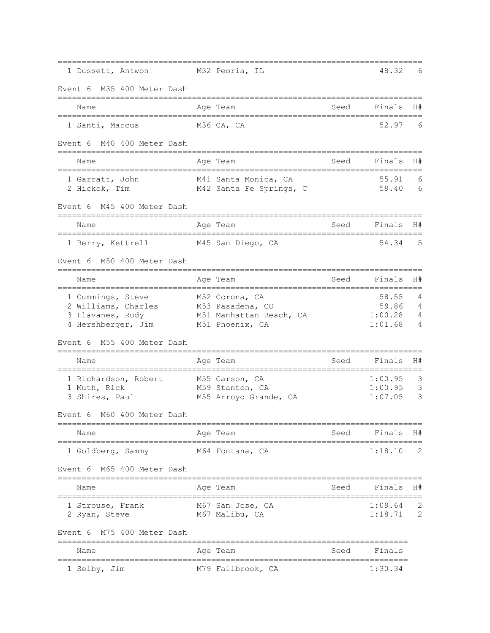| 1 Dussett, Antwon                                              |              | M32 Peoria, IL                              |      | 48.32              | 6      |
|----------------------------------------------------------------|--------------|---------------------------------------------|------|--------------------|--------|
| M35 400 Meter Dash<br>Event 6                                  |              |                                             |      |                    |        |
| Name                                                           |              | Age Team                                    | Seed | Finals             | H#     |
| 1 Santi, Marcus                                                |              | M36 CA, CA                                  |      | 52.97              | 6      |
| M40 400 Meter Dash<br>Event 6                                  |              |                                             |      |                    |        |
| Name<br>======================                                 | ============ | Age Team                                    | Seed | Finals             | H#     |
| 1 Garratt, John<br>2 Hickok, Tim                               |              | M41 Santa Monica, CA                        |      | 55.91<br>59.40     | 6<br>6 |
|                                                                |              | M42 Santa Fe Springs, C                     |      |                    |        |
| M45 400 Meter Dash<br>Event 6                                  |              |                                             |      |                    |        |
| Name                                                           |              | Age Team                                    | Seed | Finals             | H#     |
| 1 Berry, Kettrell                                              |              | M45 San Diego, CA                           |      | 54.34              | .5     |
| M50 400 Meter Dash<br>Event 6                                  |              |                                             |      |                    |        |
| Name                                                           |              | Age Team                                    | Seed | Finals             | H#     |
| 1 Cummings, Steve                                              |              | M52 Corona, CA                              |      | 58.55              | 4      |
| 2 Williams, Charles<br>3 Llavanes, Rudy                        |              | M53 Pasadena, CO<br>M51 Manhattan Beach, CA |      | 59.86<br>1:00.28   | 4<br>4 |
| 4 Hershberger, Jim                                             |              | M51 Phoenix, CA                             |      | 1:01.68            | 4      |
| M55 400 Meter Dash<br>Event 6<br>_____________________________ |              |                                             |      |                    |        |
| Name                                                           |              | Age Team                                    | Seed | Finals             | H#     |
| 1 Richardson, Robert                                           |              | M55 Carson, CA                              |      | 1:00.95            | 3      |
| 1 Muth, Rick<br>3 Shires, Paul                                 |              | M59 Stanton, CA<br>M55 Arroyo Grande, CA    |      | 1:00.95<br>1:07.05 | 3<br>3 |
| Event 6 M60 400 Meter Dash                                     |              |                                             |      |                    |        |
| Name                                                           |              | Age Team                                    | Seed | Finals             | H#     |
| 1 Goldberg, Sammy                                              |              | M64 Fontana, CA                             |      | 1:18.10            | 2      |
| Event 6 M65 400 Meter Dash                                     |              |                                             |      |                    |        |
| Name                                                           |              | Age Team                                    | Seed | Finals             | H#     |
| 1 Strouse, Frank                                               |              | M67 San Jose, CA                            |      | 1:09.64            | 2      |
| 2 Ryan, Steve                                                  |              | M67 Malibu, CA                              |      | 1:18.71            | 2      |
| M75 400 Meter Dash<br>Event 6<br>================              |              |                                             |      |                    |        |
| Name                                                           |              | Age Team                                    | Seed | Finals             |        |
| 1 Selby, Jim                                                   |              | M79 Fallbrook, CA                           |      | 1:30.34            |        |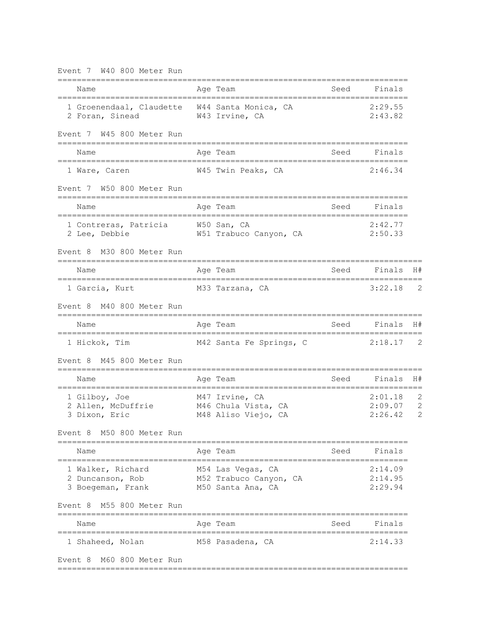| Event 7 W40 800 Meter Run<br>__________________________          |                                                                  |      |                               |                        |
|------------------------------------------------------------------|------------------------------------------------------------------|------|-------------------------------|------------------------|
| Name<br>===================================                      | Age Team<br>_____________________________                        |      | Seed Finals                   |                        |
| 1 Groenendaal, Claudette W44 Santa Monica, CA<br>2 Foran, Sinead | W43 Irvine, CA                                                   |      | 2:29.55<br>2:43.82            |                        |
| Event 7 W45 800 Meter Run                                        |                                                                  |      |                               |                        |
| Name<br>;======================                                  | Age Team                                                         | Seed | Finals                        |                        |
| 1 Ware, Caren                                                    | W45 Twin Peaks, CA                                               |      | 2:46.34                       |                        |
| Event 7 W50 800 Meter Run                                        |                                                                  |      |                               |                        |
| Name                                                             | Age Team                                                         | Seed | Finals                        |                        |
| 1 Contreras, Patricia W50 San, CA<br>2 Lee, Debbie               | W51 Trabuco Canyon, CA                                           |      | 2:42.77<br>2:50.33            |                        |
| M30 800 Meter Run<br>Event 8                                     |                                                                  |      |                               |                        |
| Name<br>:===================================                     | Age Team                                                         | Seed | Finals                        | H#                     |
| 1 Garcia, Kurt                                                   | M33 Tarzana, CA                                                  |      | 3:22.18                       | 2                      |
| M40 800 Meter Run<br>Event 8                                     |                                                                  |      |                               |                        |
| Name                                                             | Age Team                                                         |      | Seed Finals                   | H#                     |
| 1 Hickok, Tim                                                    | M42 Santa Fe Springs, C                                          |      | 2:18.17                       | -2                     |
| M45 800 Meter Run<br>Event 8                                     |                                                                  |      |                               |                        |
| Name                                                             | Age Team                                                         | Seed | Finals                        | H#                     |
| 1 Gilboy, Joe<br>2 Allen, McDuffrie<br>3 Dixon, Eric             | M47 Irvine, CA<br>M46 Chula Vista, CA<br>M48 Aliso Viejo, CA     |      | 2:01.18<br>2:09.07<br>2:26.42 | 2<br>$\mathbf{2}$<br>2 |
| M50 800 Meter Run<br>Event 8                                     |                                                                  |      |                               |                        |
| Name                                                             | Aqe Team                                                         | Seed | Finals                        |                        |
| 1 Walker, Richard<br>2 Duncanson, Rob<br>3 Boegeman, Frank       | M54 Las Vegas, CA<br>M52 Trabuco Canyon, CA<br>M50 Santa Ana, CA |      | 2:14.09<br>2:14.95<br>2:29.94 |                        |
| M55 800 Meter Run<br>Event 8<br>----------------                 |                                                                  |      |                               |                        |
| Name<br>-----------<br>-------------                             | Age Team<br>======================================               | Seed | Finals                        |                        |
| 1 Shaheed, Nolan                                                 | M58 Pasadena, CA                                                 |      | 2:14.33                       |                        |
| M60 800 Meter Run<br>Event 8                                     |                                                                  |      |                               |                        |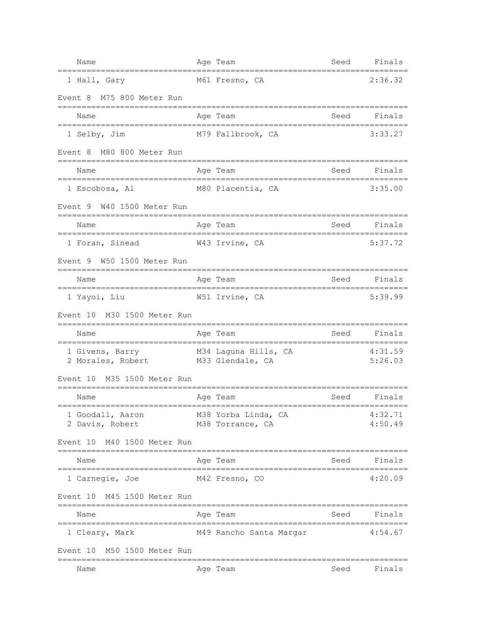| Name                                                  | Age Team                                        | Seed | Finals             |
|-------------------------------------------------------|-------------------------------------------------|------|--------------------|
| 1 Hall, Gary                                          | M61 Fresno, CA                                  |      | 2:36.32            |
| M75 800 Meter Run<br>Event 8                          |                                                 |      |                    |
| Name<br>==================================            | Age Team<br>;=================================  | Seed | Finals             |
| 1 Selby, Jim                                          | M79 Fallbrook, CA                               |      | 3:33.27            |
| Event 8<br>M80 800 Meter Run                          |                                                 |      |                    |
| Name<br>===================================           | Age Team<br>==============================      | Seed | Finals             |
| 1 Escobosa, Al                                        | M80 Placentia, CA                               |      | 3:35.00            |
| Event 9 W40 1500 Meter Run                            |                                                 |      |                    |
| Name<br>===============================               | Age Team<br>=========================           | Seed | Finals             |
| 1 Foran, Sinead                                       | W43 Irvine, CA                                  |      | 5:37.72            |
| W50 1500 Meter Run<br>Event 9                         |                                                 |      |                    |
| Name                                                  | Age Team                                        | Seed | Finals             |
| 1 Yayoi, Liu                                          | W51 Irvine, CA                                  |      | 5:39.99            |
| M30 1500 Meter Run<br>Event 10                        |                                                 |      |                    |
| Name<br>____________________                          | Age Team                                        | Seed | Finals             |
| 1 Givens, Barry<br>2 Morales, Robert M33 Glendale, CA | M34 Laguna Hills, CA                            |      | 4:31.59<br>5:26.03 |
| M35 1500 Meter Run<br>Event 10                        |                                                 |      |                    |
| Name<br>===================================           | Age Team<br>:================================== | Seed | Finals             |
| 1 Goodall, Aaron<br>2 Davis, Robert                   | M38 Yorba Linda, CA 4:32.71<br>M38 Torrance, CA |      | 4:50.49            |
| Event 10 M40 1500 Meter Run                           |                                                 |      |                    |
| Name                                                  | Age Team                                        |      | Seed Finals        |
| 1 Carnegie, Joe                                       | M42 Fresno, CO                                  |      | 4:20.09            |
| Event 10 M45 1500 Meter Run                           | --------                                        |      |                    |
| Name                                                  | Age Team                                        | Seed | Finals             |
| 1 Cleary, Mark                                        | M49 Rancho Santa Margar                         |      | 4:54.67            |
| Event 10 M50 1500 Meter Run                           |                                                 |      |                    |
| Name                                                  | Age Team                                        | Seed | Finals             |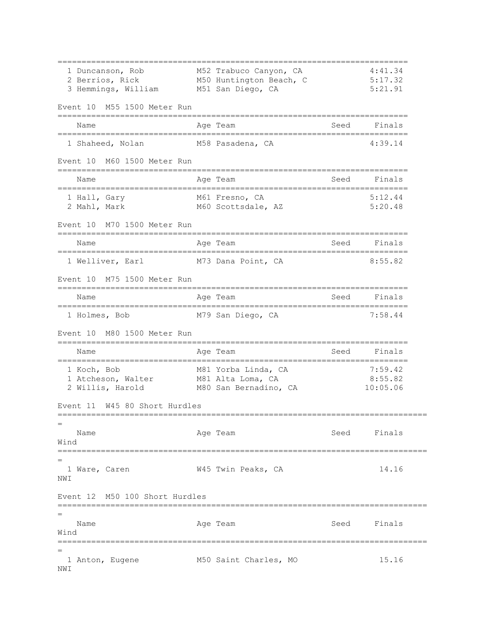========================================================================= 1 Duncanson, Rob M52 Trabuco Canyon, CA 4:41.34 2 Berrios, Rick M50 Huntington Beach, C 5:17.32 3 Hemmings, William M51 San Diego, CA 5:21.91 Event 10 M55 1500 Meter Run ========================================================================= Name Age Team Seed Finals ========================================================================= 1 Shaheed, Nolan M58 Pasadena, CA 4:39.14 Event 10 M60 1500 Meter Run ========================================================================= Name **Age Team** Age Team Seed Finals ========================================================================= 1 Hall, Gary M61 Fresno, CA 5:12.44 2 Mahl, Mark M60 Scottsdale, AZ 5:20.48 Event 10 M70 1500 Meter Run ========================================================================= Name **Age Team** Age Team Seed Finals ========================================================================= 1 Welliver, Earl M73 Dana Point, CA 8:55.82 Event 10 M75 1500 Meter Run ========================================================================= Name **Age Team** Age Team Seed Finals ========================================================================= 1 Holmes, Bob M79 San Diego, CA 7:58.44 Event 10 M80 1500 Meter Run ========================================================================= Name Age Team Age Team Seed Finals ========================================================================= 1 Koch, Bob M81 Yorba Linda, CA 7:59.42 1 Atcheson, Walter M81 Alta Loma, CA 8:55.82 2 Willis, Harold M80 San Bernadino, CA 10:05.06 Event 11 W45 80 Short Hurdles ============================================================================= = Name **Age Team** Age Team Seed Finals Wind ============================================================================= = 1 Ware, Caren W45 Twin Peaks, CA 14.16 NWI Event 12 M50 100 Short Hurdles ============================================================================= = Name and Age Team and Seed Finals Wind ============================================================================= = 1 Anton, Eugene M50 Saint Charles, MO 15.16 NWI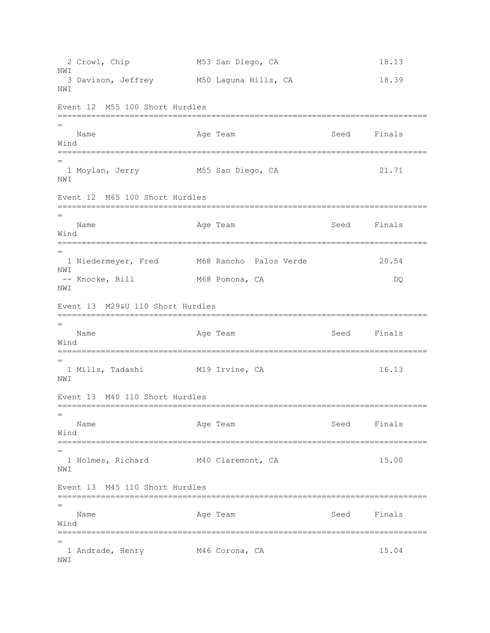```
2 Crowl, Chip M53 San Diego, CA 18.13
NM<sub>T</sub>
 3 Davison, Jeffrey M50 Laguna Hills, CA 18.39
NWI 
Event 12 M55 100 Short Hurdles
=============================================================================
=
  Name Age Team Age Team Seed Finals
Wind
=============================================================================
=
 1 Moylan, Jerry M55 San Diego, CA 21.71 
NWI 
Event 12 M65 100 Short Hurdles
=============================================================================
=
  Name Age Team Seed Finals
Wind
=============================================================================
=
  1 Niedermeyer, Fred M68 Rancho Palos Verde 20.54 
NWI 
-- Knocke, Bill M68 Pomona, CA DQ
NWI 
Event 13 M29&U 110 Short Hurdles
=============================================================================
=
   Name Age Team Age Team Seed Finals
Wind
=============================================================================
=
  1 Mills, Tadashi M19 Irvine, CA 16.13 
NWI 
Event 13 M40 110 Short Hurdles
=============================================================================
=
  Name Age Team Age Team Seed Finals
Wind
=============================================================================
=
  1 Holmes, Richard M40 Claremont, CA 15.00 
NM<sub>T</sub>
Event 13 M45 110 Short Hurdles
=============================================================================
\overline{\phantom{0}}Name Age Team Age Team Seed Finals
Wind
=============================================================================
=
1 Andrade, Henry M46 Corona, CA 15.04
NWI
```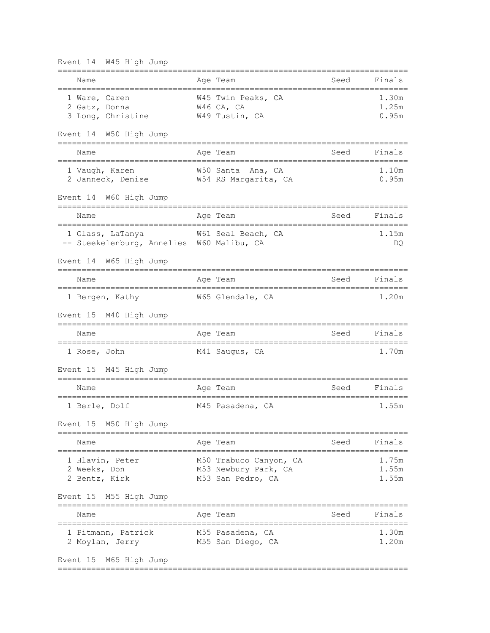| Event 14 W45 High Jump                                             |                                                                     |      |                         |
|--------------------------------------------------------------------|---------------------------------------------------------------------|------|-------------------------|
| Name<br>================================                           | Age Team                                                            | Seed | Finals                  |
| 1 Ware, Caren<br>2 Gatz, Donna<br>3 Long, Christine                | W45 Twin Peaks, CA<br>W46 CA, CA<br>W49 Tustin, CA                  |      | 1.30m<br>1.25m<br>0.95m |
| Event 14 W50 High Jump                                             |                                                                     |      |                         |
| Name                                                               | Age Team                                                            | Seed | Finals                  |
| 1 Vaugh, Karen<br>2 Janneck, Denise                                | W50 Santa Ana, CA<br>W54 RS Margarita, CA                           |      | 1.10m<br>0.95m          |
| Event 14 W60 High Jump                                             |                                                                     |      |                         |
| Name                                                               | Age Team                                                            | Seed | Finals                  |
| 1 Glass, LaTanya<br>-- Steekelenburg, Annelies W60 Malibu, CA      | W61 Seal Beach, CA                                                  |      | 1.15m<br>DQ.            |
| Event 14 W65 High Jump                                             |                                                                     |      |                         |
| Name                                                               | Age Team                                                            | Seed | Finals                  |
| 1 Bergen, Kathy                                                    | W65 Glendale, CA                                                    |      | 1.20m                   |
| Event 15 M40 High Jump                                             |                                                                     |      |                         |
| Name<br>===========                                                | Age Team                                                            | Seed | Finals                  |
| 1 Rose, John                                                       | M41 Saugus, CA                                                      |      | 1.70m                   |
| Event 15<br>M45 High Jump<br>------------------------------------- |                                                                     |      |                         |
| Name                                                               | Age Team                                                            | Seed | Finals                  |
| 1 Berle, Dolf                                                      | M45 Pasadena, CA                                                    |      | 1.55m                   |
| Event 15 M50 High Jump                                             |                                                                     |      |                         |
| ============================<br>Name                               | ======================================<br>Aqe Team                  | Seed | Finals                  |
| 1 Hlavin, Peter<br>2 Weeks, Don<br>2 Bentz, Kirk                   | M50 Trabuco Canyon, CA<br>M53 Newbury Park, CA<br>M53 San Pedro, CA |      | 1.75m<br>1.55m<br>1.55m |
| M55 High Jump<br>Event 15                                          |                                                                     |      |                         |
| Name                                                               | Age Team                                                            | Seed | Finals                  |
| 1 Pitmann, Patrick<br>2 Moylan, Jerry                              | M55 Pasadena, CA<br>M55 San Diego, CA                               |      | 1.30m<br>1.20m          |
| Event 15 M65 High Jump                                             |                                                                     |      |                         |

=========================================================================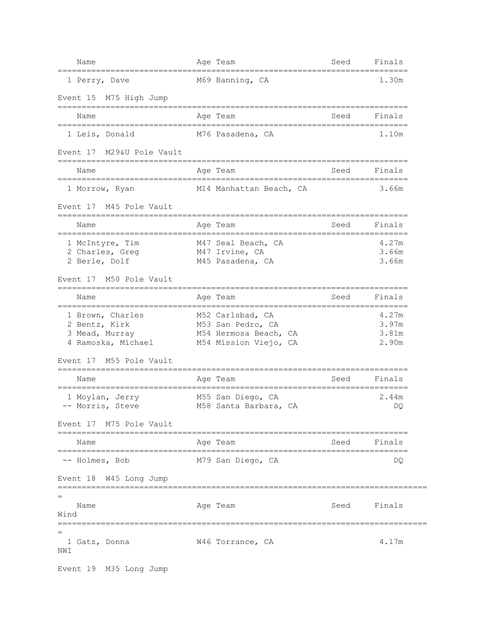| Name                                        | Age Team                                       | Seed | Finals                     |
|---------------------------------------------|------------------------------------------------|------|----------------------------|
| 1 Perry, Dave                               | M69 Banning, CA                                |      | 1.30m                      |
| Event 15 M75 High Jump                      |                                                |      |                            |
| Name                                        | Age Team                                       | Seed | Finals                     |
| 1 Leis, Donald                              | M76 Pasadena, CA                               |      | 1.10m                      |
| M29&U Pole Vault<br>Event 17                |                                                |      |                            |
| Name                                        | Age Team                                       | Seed | Finals                     |
| 1 Morrow, Ryan                              | M14 Manhattan Beach, CA                        |      | 3.66m                      |
| Event 17 M45 Pole Vault                     |                                                |      | ========================== |
| Name<br>=================================== | Age Team<br>================================   | Seed | Finals                     |
| 1 McIntyre, Tim                             | M47 Seal Beach, CA                             |      | 4.27m                      |
| 2 Charles, Greg<br>2 Berle, Dolf            | M47 Irvine, CA<br>M45 Pasadena, CA             |      | 3.66m<br>3.66m             |
| Event 17 M50 Pole Vault                     |                                                |      |                            |
| Name                                        | Age Team                                       | Seed | Finals                     |
| 1 Brown, Charles                            | M52 Carlsbad, CA                               |      | 4.27m                      |
| 2 Bentz, Kirk                               | M53 San Pedro, CA                              |      | 3.97m                      |
| 3 Mead, Murray<br>4 Ramoska, Michael        | M54 Hermosa Beach, CA<br>M54 Mission Viejo, CA |      | 3.81m<br>2.90m             |
| M55 Pole Vault<br>Event 17                  |                                                |      |                            |
| Name                                        | Age Team                                       | Seed | Finals                     |
| 1 Moylan, Jerry                             | M55 San Diego, CA                              |      | 2.44m                      |
| -- Morris, Steve                            | M58 Santa Barbara, CA                          |      | DQ                         |
| Event 17 M75 Pole Vault                     |                                                |      |                            |
| Name                                        | Age Team                                       | Seed | Finals                     |
| -- Holmes, Bob                              | M79 San Diego, CA                              |      | DQ.                        |
| Event 18 W45 Long Jump                      |                                                |      |                            |
| $=$<br>Name                                 |                                                |      | Seed Finals                |
| Wind                                        | Age Team                                       |      |                            |
| =========================                   | ==============================                 |      |                            |
| 1 Gatz, Donna<br>NWI                        | W46 Torrance, CA                               |      | 4.17m                      |
| Event 19 M35 Long Jump                      |                                                |      |                            |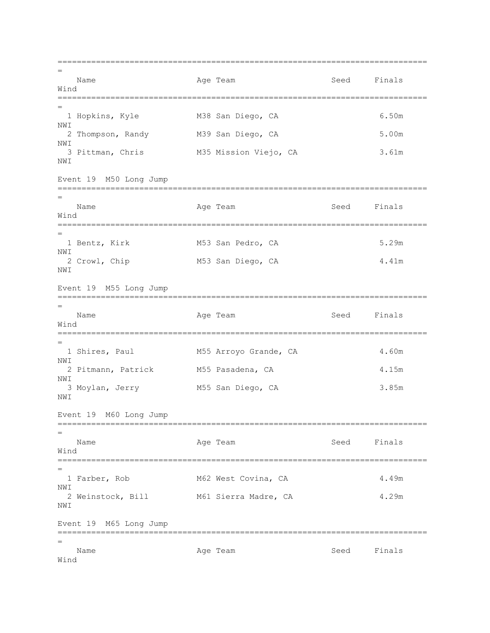============================================================================= = Name Age Team Age Team Seed Finals Wind ============================================================================= = 1 Hopkins, Kyle M38 San Diego, CA 6.50m NWI 2 Thompson, Randy M39 San Diego, CA 5.00m NWI 3 Pittman, Chris M35 Mission Viejo, CA 3.61m NWI Event 19 M50 Long Jump ============================================================================= = Name **Age Team** Age Team Seed Finals Wind ============================================================================= = 1 Bentz, Kirk M53 San Pedro, CA 5.29m NWI 2 Crowl, Chip M53 San Diego, CA 4.41m NWI Event 19 M55 Long Jump ============================================================================= = Name Age Team Age Team Seed Finals Wind ============================================================================= = 1 Shires, Paul M55 Arroyo Grande, CA 4.60m NWI 2 Pitmann, Patrick M55 Pasadena, CA 4.15m NWI 3 Moylan, Jerry M55 San Diego, CA 3.85m NWI Event 19 M60 Long Jump ============================================================================= = Name **Age Team** Age Team Seed Finals Wind ============================================================================= = 1 Farber, Rob M62 West Covina, CA 4.49m NWI 2 Weinstock, Bill M61 Sierra Madre, CA 4.29m NWI Event 19 M65 Long Jump ============================================================================= = Name **Age Team** Age Team Seed Finals Wind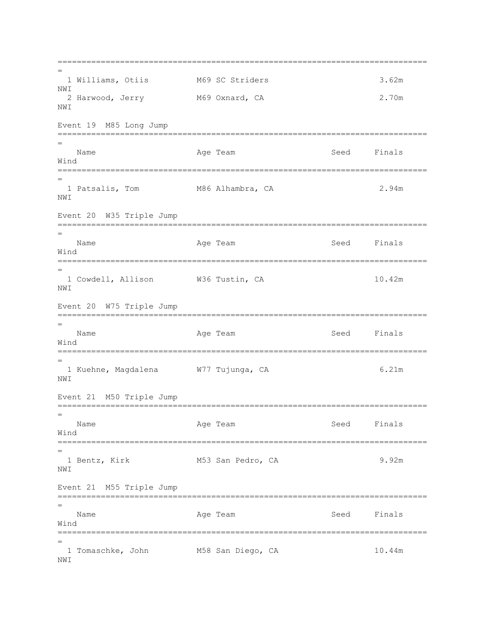```
=============================================================================
=
  1 Williams, Otiis M69 SC Striders 3.62m 
NWI 
  2 Harwood, Jerry M69 Oxnard, CA 2.70m 
NWI 
Event 19 M85 Long Jump
=============================================================================
=
   Name Age Team Age Team Seed Finals
Wind
=============================================================================
=
1 Patsalis, Tom M86 Alhambra, CA 2.94m
NWI 
Event 20 W35 Triple Jump
=============================================================================
=
  Name Age Team Age Team Seed Finals
Wind
=============================================================================
=
1 Cowdell, Allison W36 Tustin, CA 10.42m
NWI 
Event 20 W75 Triple Jump
=============================================================================
=
   Name Age Team Age Team Seed Finals
Wind
=============================================================================
=
  1 Kuehne, Magdalena W77 Tujunga, CA 6.21m 
NWI 
Event 21 M50 Triple Jump
=============================================================================
=
  Name Age Team Age Team Seed Finals
Wind
=============================================================================
=
  1 Bentz, Kirk M53 San Pedro, CA 9.92m 
NW<sub>T</sub>
Event 21 M55 Triple Jump
=============================================================================
=
  Name Age Team Age Team Seed Finals
Wind
=============================================================================
=
 1 Tomaschke, John M58 San Diego, CA 10.44m 
NWI
```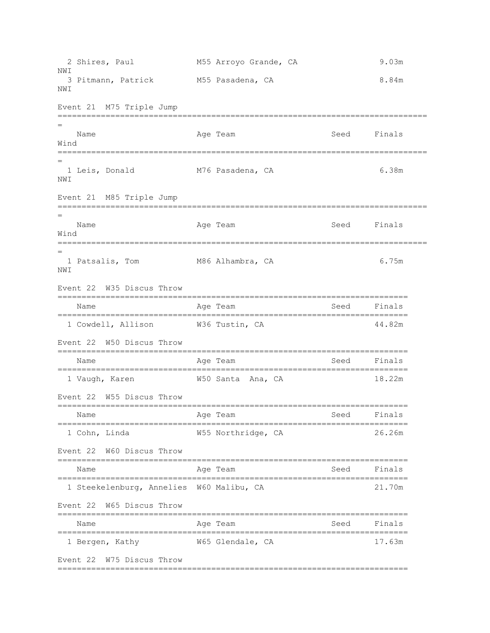2 Shires, Paul M55 Arroyo Grande, CA 9.03m NM<sub>T</sub> 3 Pitmann, Patrick M55 Pasadena, CA 8.84m NWI Event 21 M75 Triple Jump ============================================================================= = Name Age Team Seed Finals Wind ============================================================================= = 1 Leis, Donald M76 Pasadena, CA 6.38m NWI Event 21 M85 Triple Jump ============================================================================= = Name **Age Team** Age Team Seed Finals Wind ============================================================================= = 1 Patsalis, Tom 6.75m NWI Event 22 W35 Discus Throw ========================================================================= Name **Age Team** Age Team Seed Finals ========================================================================= 1 Cowdell, Allison W36 Tustin, CA 44.82m Event 22 W50 Discus Throw ========================================================================= Name Mage Team Age Team Seed Finals ========================================================================= 1 Vaugh, Karen W50 Santa Ana, CA 18.22m Event 22 W55 Discus Throw ========================================================================= Name **Age Team** Age Team Seed Finals ========================================================================= 1 Cohn, Linda W55 Northridge, CA 26.26m Event 22 W60 Discus Throw ========================================================================= Name Age Team Age Team Seed Finals ========================================================================= 1 Steekelenburg, Annelies W60 Malibu, CA 21.70m Event 22 W65 Discus Throw ========================================================================= Name Age Team Age Team Seed Finals ========================================================================= 1 Bergen, Kathy  $W65$  Glendale, CA 17.63m Event 22 W75 Discus Throw =========================================================================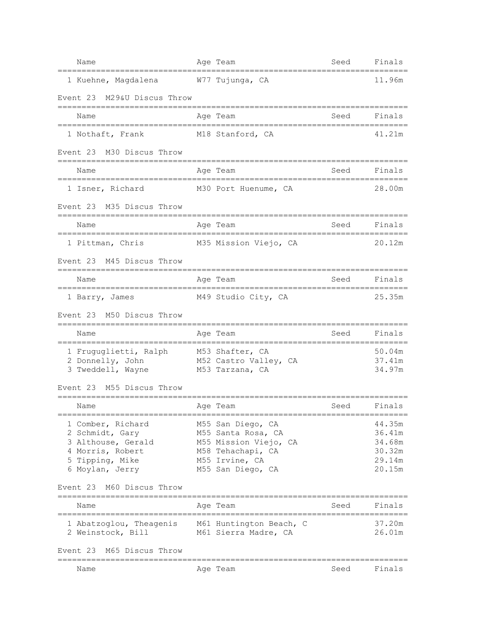| Name                                                                            | Age Team                                          | Seed                      | Finals           |
|---------------------------------------------------------------------------------|---------------------------------------------------|---------------------------|------------------|
| 1 Kuehne, Magdalena                                                             | W77 Tujunga, CA                                   |                           | 11.96m           |
| M29&U Discus Throw<br>Event 23                                                  |                                                   |                           |                  |
| Name                                                                            | Age Team                                          | Seed                      | Finals           |
| 1 Nothaft, Frank                                                                | M18 Stanford, CA                                  |                           | 41.21m           |
| Event 23 M30 Discus Throw                                                       |                                                   |                           |                  |
| Name                                                                            | Age Team                                          | Seed<br>================= | Finals           |
| 1 Isner, Richard                                                                | M30 Port Huenume, CA                              |                           | 28.00m           |
| Event 23 M35 Discus Throw                                                       |                                                   |                           |                  |
| Name<br>====================================                                    | Age Team<br>===================================== | Seed                      | Finals           |
| 1 Pittman, Chris                                                                | M35 Mission Viejo, CA                             |                           | 20.12m           |
| Event 23 M45 Discus Throw                                                       |                                                   |                           |                  |
| Name                                                                            | Age Team                                          | Seed                      | Finals           |
| 1 Barry, James                                                                  | M49 Studio City, CA                               |                           | 25.35m           |
| Event 23 M50 Discus Throw<br>=============================                      |                                                   |                           |                  |
| Name                                                                            | Age Team                                          | Seed                      | Finals           |
| 1 Fruguglietti, Ralph M53 Shafter, CA<br>2 Donnelly, John M52 Castro Valley, CA |                                                   |                           | 50.04m<br>37.41m |
| 3 Tweddell, Wayne M53 Tarzana, CA                                               |                                                   |                           | 34.97m           |
| M55 Discus Throw<br>Event 23                                                    |                                                   |                           |                  |
| Name<br>====================                                                    | Age Team<br>;========================             | Seed                      | Finals           |
| 1 Comber, Richard                                                               | M55 San Diego, CA                                 |                           | 44.35m           |
| 2 Schmidt, Gary<br>3 Althouse, Gerald                                           | M55 Santa Rosa, CA<br>M55 Mission Viejo, CA       |                           | 36.41m<br>34.68m |
| 4 Morris, Robert                                                                | M58 Tehachapi, CA                                 |                           | 30.32m           |
| 5 Tipping, Mike                                                                 | M55 Irvine, CA                                    |                           | 29.14m           |
| 6 Moylan, Jerry                                                                 | M55 San Diego, CA                                 |                           | 20.15m           |
| Event 23<br>M60 Discus Throw<br>===========                                     |                                                   |                           |                  |
| Name                                                                            | Age Team                                          | Seed                      | Finals           |
| 1 Abatzoglou, Theagenis<br>2 Weinstock, Bill                                    | M61 Huntington Beach, C<br>M61 Sierra Madre, CA   |                           | 37.20m<br>26.01m |
| M65 Discus Throw<br>Event 23<br>============================                    |                                                   |                           |                  |
| Name                                                                            | Age Team                                          | Seed                      | Finals           |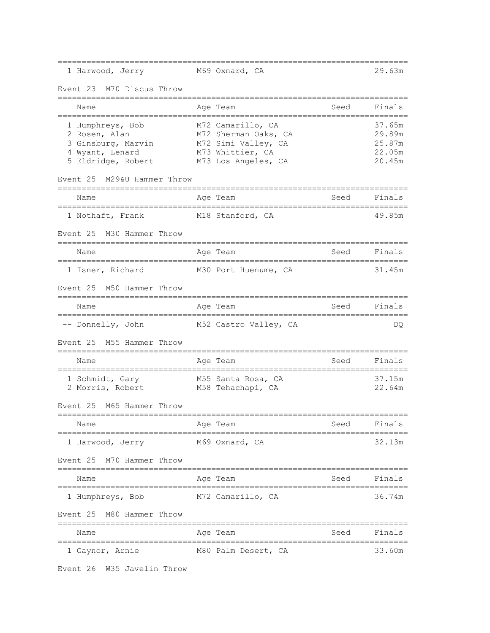| 1 Harwood, Jerry                                                                                                     | M69 Oxnard, CA                                                                       |      | 29.63m                                         |
|----------------------------------------------------------------------------------------------------------------------|--------------------------------------------------------------------------------------|------|------------------------------------------------|
| M70 Discus Throw<br>Event 23                                                                                         |                                                                                      |      |                                                |
| Name                                                                                                                 | Age Team                                                                             | Seed | Finals                                         |
| 1 Humphreys, Bob<br>2 Rosen, Alan<br>3 Ginsburg, Marvin<br>4 Wyant, Lenard<br>5 Eldridge, Robert M73 Los Angeles, CA | M72 Camarillo, CA<br>M72 Sherman Oaks, CA<br>M72 Simi Valley, CA<br>M73 Whittier, CA |      | 37.65m<br>29.89m<br>25.87m<br>22.05m<br>20.45m |
| Event 25<br>M29&U Hammer Throw<br>======================================                                             |                                                                                      |      |                                                |
| Name                                                                                                                 | Age Team                                                                             | Seed | Finals                                         |
| 1 Nothaft, Frank                                                                                                     | M18 Stanford, CA                                                                     |      | 49.85m                                         |
| Event 25<br>M30 Hammer Throw                                                                                         |                                                                                      |      |                                                |
| Name                                                                                                                 | Age Team                                                                             | Seed | Finals                                         |
| 1 Isner, Richard                                                                                                     | M30 Port Huenume, CA                                                                 |      | 31.45m                                         |
| Event 25 M50 Hammer Throw<br>=============================                                                           |                                                                                      |      |                                                |
| Name                                                                                                                 | Age Team                                                                             | Seed | Finals                                         |
| -- Donnelly, John                                                                                                    | M52 Castro Valley, CA                                                                |      | DQ.                                            |
| Event 25<br>M55 Hammer Throw                                                                                         |                                                                                      |      |                                                |
| Name                                                                                                                 | Age Team                                                                             | Seed | Finals                                         |
| 1 Schmidt, Gary<br>2 Morris, Robert                                                                                  | M55 Santa Rosa, CA<br>M58 Tehachapi, CA                                              |      | 37.15m<br>22.64m                               |
| Event 25<br>M65 Hammer Throw                                                                                         |                                                                                      |      |                                                |
| Name<br>============                                                                                                 | Age Team                                                                             | Seed | Finals                                         |
| 1 Harwood, Jerry                                                                                                     | M69 Oxnard, CA                                                                       |      | 32.13m                                         |
| Event 25 M70 Hammer Throw                                                                                            |                                                                                      |      |                                                |
| Name                                                                                                                 | Age Team                                                                             | Seed | Finals                                         |
| 1 Humphreys, Bob                                                                                                     | M72 Camarillo, CA                                                                    |      | 36.74m                                         |
| Event 25<br>M80 Hammer Throw                                                                                         |                                                                                      |      |                                                |
| Name                                                                                                                 | Age Team                                                                             | Seed | Finals                                         |
| 1 Gaynor, Arnie                                                                                                      | M80 Palm Desert, CA                                                                  |      | 33.60m                                         |

Event 26 W35 Javelin Throw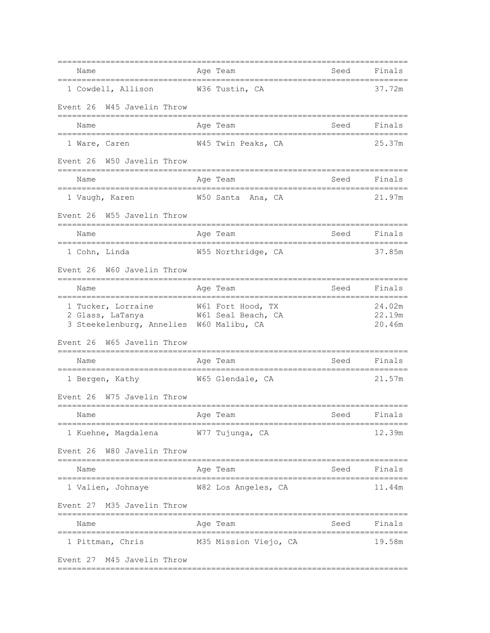| Name                                               | Age Team                                               | Seed                 | Finals           |
|----------------------------------------------------|--------------------------------------------------------|----------------------|------------------|
| 1 Cowdell, Allison W36 Tustin, CA                  |                                                        |                      | 37.72m           |
| Event 26 W45 Javelin Throw                         |                                                        |                      |                  |
| Name                                               | Age Team                                               | Seed                 | Finals           |
| 1 Ware, Caren                                      | W45 Twin Peaks, CA                                     |                      | 25.37m           |
| Event 26 W50 Javelin Throw                         |                                                        |                      |                  |
| Name                                               | Age Team                                               | Seed                 | Finals           |
| ________________________________<br>1 Vaugh, Karen | ==============================<br>W50 Santa<br>Ana, CA |                      | 21.97m           |
| W55 Javelin Throw<br>Event 26                      |                                                        |                      |                  |
| Name                                               | Age Team                                               | Seed                 | Finals           |
| 1 Cohn, Linda                                      | W55 Northridge, CA                                     |                      | 37.85m           |
| Event 26 W60 Javelin Throw                         |                                                        |                      |                  |
| Name                                               | Age Team                                               | Seed                 | Finals           |
| 1 Tucker, Lorraine<br>2 Glass, LaTanya             | W61 Fort Hood, TX<br>W61 Seal Beach, CA                |                      | 24.02m<br>22.19m |
| 3 Steekelenburg, Annelies W60 Malibu, CA           |                                                        |                      | 20.46m           |
| Event 26 W65 Javelin Throw                         | ----------------                                       |                      |                  |
| Name                                               | Age Team                                               | Seed                 | Finals           |
| 1 Bergen, Kathy                                    | W65 Glendale, CA                                       |                      | 21.57m           |
| W75 Javelin Throw<br>Event 26                      |                                                        |                      |                  |
| Age Team<br>Name<br>===================            |                                                        | Seed<br>============ | Finals           |
| 1 Kuehne, Magdalena                                | W77 Tujunga, CA                                        |                      | 12.39m           |
| Event 26 W80 Javelin Throw                         |                                                        |                      |                  |
| Name                                               | Age Team                                               |                      | Seed Finals      |
| 1 Valien, Johnaye M82 Los Angeles, CA              |                                                        |                      | 11.44m           |
| Event 27 M35 Javelin Throw                         |                                                        |                      |                  |
| Name                                               | _______<br>Age Team                                    | Seed                 | Finals           |
| 1 Pittman, Chris                                   | M35 Mission Viejo, CA                                  |                      | 19.58m           |
| Event 27 M45 Javelin Throw                         |                                                        |                      |                  |

=========================================================================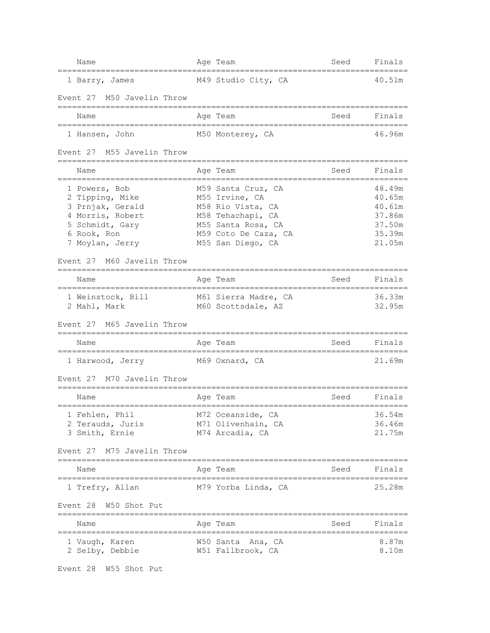| Name                                                                                                                                                           | Age Team              |                                                                                                                                                   | Seed | Finals                                                             |
|----------------------------------------------------------------------------------------------------------------------------------------------------------------|-----------------------|---------------------------------------------------------------------------------------------------------------------------------------------------|------|--------------------------------------------------------------------|
| 1 Barry, James                                                                                                                                                 |                       | M49 Studio City, CA                                                                                                                               |      | 40.51m                                                             |
| Event 27 M50 Javelin Throw                                                                                                                                     |                       |                                                                                                                                                   |      |                                                                    |
| Name                                                                                                                                                           | Age Team              |                                                                                                                                                   | Seed | Finals                                                             |
| 1 Hansen, John                                                                                                                                                 |                       | M50 Monterey, CA                                                                                                                                  |      | 46.96m                                                             |
| Event 27 M55 Javelin Throw                                                                                                                                     |                       |                                                                                                                                                   |      |                                                                    |
| Name                                                                                                                                                           | Age Team              |                                                                                                                                                   | Seed | Finals                                                             |
| 1 Powers, Bob<br>2 Tipping, Mike<br>3 Prnjak, Gerald<br>4 Morris, Robert<br>5 Schmidt, Gary<br>6 Rook, Ron<br>7 Moylan, Jerry<br>M60 Javelin Throw<br>Event 27 |                       | M59 Santa Cruz, CA<br>M55 Irvine, CA<br>M58 Rio Vista, CA<br>M58 Tehachapi, CA<br>M55 Santa Rosa, CA<br>M59 Coto De Caza, CA<br>M55 San Diego, CA |      | 48.49m<br>40.65m<br>40.61m<br>37.86m<br>37.50m<br>35.39m<br>21.05m |
| Name                                                                                                                                                           | Age Team              |                                                                                                                                                   | Seed | Finals                                                             |
| 1 Weinstock, Bill<br>2 Mahl, Mark<br>Event 27 M65 Javelin Throw                                                                                                |                       | M61 Sierra Madre, CA<br>M60 Scottsdale, AZ                                                                                                        |      | 36.33m<br>32.95m                                                   |
| =============================<br>Name                                                                                                                          | Age Team              |                                                                                                                                                   | Seed | Finals                                                             |
| 1 Harwood, Jerry                                                                                                                                               |                       | M69 Oxnard, CA                                                                                                                                    |      | 21.69m                                                             |
| M70 Javelin Throw<br>Event 27                                                                                                                                  |                       |                                                                                                                                                   |      |                                                                    |
| ==============================<br>Name                                                                                                                         | Age Team              |                                                                                                                                                   | Seed | Finals                                                             |
| 1 Fehlen, Phil<br>2 Terauds, Juris<br>3 Smith, Ernie<br>Event 27 M75 Javelin Throw                                                                             |                       | M72 Oceanside, CA<br>M71 Olivenhain, CA<br>M74 Arcadia, CA                                                                                        |      | 36.54m<br>36.46m<br>21.75m                                         |
| Name                                                                                                                                                           | Age Team              |                                                                                                                                                   | Seed | Finals                                                             |
| 1 Trefry, Allan                                                                                                                                                |                       | M79 Yorba Linda, CA                                                                                                                               |      | 25.28m                                                             |
| Event 28 W50 Shot Put                                                                                                                                          |                       |                                                                                                                                                   |      |                                                                    |
| Name                                                                                                                                                           | =========<br>Age Team |                                                                                                                                                   | Seed | Finals                                                             |
| 1 Vaugh, Karen<br>2 Selby, Debbie                                                                                                                              |                       | W50 Santa Ana, CA<br>W51 Fallbrook, CA                                                                                                            |      | 8.87m<br>8.10m                                                     |

Event 28 W55 Shot Put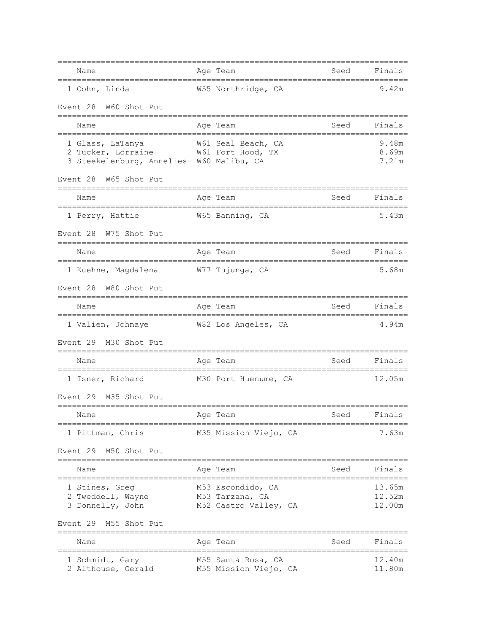| Name                                                                                                                    | Age Team |                                                               | Seed        | Finals                     |
|-------------------------------------------------------------------------------------------------------------------------|----------|---------------------------------------------------------------|-------------|----------------------------|
| 1 Cohn, Linda                                                                                                           |          | W55 Northridge, CA                                            |             | 9.42m                      |
| Event 28<br>W60 Shot Put                                                                                                |          |                                                               |             |                            |
| Name                                                                                                                    | Age Team |                                                               | Seed        | Finals                     |
| 1 Glass, LaTanya M61 Seal Beach, CA<br>2 Tucker, Lorraine M61 Fort Hood, TX<br>3 Steekelenburg, Annelies W60 Malibu, CA |          |                                                               |             | 9.48m<br>8.69m<br>7.21m    |
| Event 28 W65 Shot Put                                                                                                   |          |                                                               |             |                            |
| Name                                                                                                                    |          | Age Team                                                      | Seed        | Finals                     |
| 1 Perry, Hattie                                                                                                         |          | W65 Banning, CA                                               |             | 5.43m                      |
| Event 28 W75 Shot Put                                                                                                   |          |                                                               |             |                            |
| Name                                                                                                                    |          | Age Team                                                      | Seed        | Finals                     |
| 1 Kuehne, Magdalena M77 Tujunga, CA                                                                                     |          |                                                               |             | 5.68m                      |
| Event 28 W80 Shot Put<br>==========================                                                                     |          |                                                               |             |                            |
| Name                                                                                                                    | Age Team |                                                               | Seed        | Finals                     |
| 1 Valien, Johnaye M82 Los Angeles, CA                                                                                   |          |                                                               |             | 4.94m                      |
| Event 29 M30 Shot Put                                                                                                   |          |                                                               |             |                            |
| Name                                                                                                                    | Age Team |                                                               | Seed        | Finals                     |
| 1 Isner, Richard                                                                                                        |          | M30 Port Huenume, CA                                          |             | 12.05m                     |
| Event 29<br>M35 Shot Put                                                                                                |          |                                                               |             |                            |
| Name                                                                                                                    | Age Team |                                                               | <b>Seed</b> | Finals                     |
| 1 Pittman, Chris                                                                                                        |          | M35 Mission Viejo, CA                                         |             | 7.63m                      |
| Event 29 M50 Shot Put                                                                                                   |          |                                                               |             |                            |
| Name<br>===============                                                                                                 | Age Team |                                                               | Seed        | Finals                     |
| 1 Stines, Greg<br>2 Tweddell, Wayne<br>3 Donnelly, John                                                                 |          | M53 Escondido, CA<br>M53 Tarzana, CA<br>M52 Castro Valley, CA |             | 13.65m<br>12.52m<br>12.00m |
| Event 29 M55 Shot Put<br>;==========================                                                                    |          |                                                               |             |                            |
| Name                                                                                                                    |          | Age Team                                                      | Seed        | Finals                     |
| 1 Schmidt, Gary<br>2 Althouse, Gerald                                                                                   |          | M55 Santa Rosa, CA<br>M55 Mission Viejo, CA                   |             | 12.40m<br>11.80m           |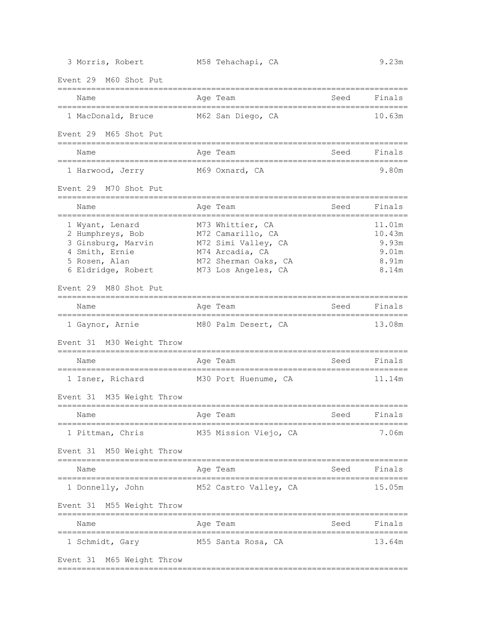Event 29 M60 Shot Put ========================================================================= Name Age Team Seed Finals ========================================================================= 1 MacDonald, Bruce M62 San Diego, CA 10.63m Event 29 M65 Shot Put ========================================================================= Name Age Team Age Team Seed Finals ========================================================================= 1 Harwood, Jerry M69 Oxnard, CA 9.80m Event 29 M70 Shot Put ========================================================================= Name Mage Team Age Team Seed Finals ========================================================================= 1 Wyant, Lenard M73 Whittier, CA 11.01m 2 Humphreys, Bob M72 Camarillo, CA 10.43m 3 Ginsburg, Marvin M72 Simi Valley, CA 9.93m 4 Smith, Ernie M74 Arcadia, CA 9.01m 5 Rosen, Alan M72 Sherman Oaks, CA 8.91m 6 Eldridge, Robert M73 Los Angeles, CA 8.14m Event 29 M80 Shot Put ========================================================================= Name **Age Team** Age Team Seed Finals ========================================================================= 1 Gaynor, Arnie M80 Palm Desert, CA 13.08m Event 31 M30 Weight Throw ========================================================================= Name Reserve Age Team Name Seed Finals ========================================================================= 1 Isner, Richard M30 Port Huenume, CA 11.14m Event 31 M35 Weight Throw ========================================================================= Name **Age Team** Age Team Seed Finals ========================================================================= 1 Pittman, Chris M35 Mission Viejo, CA 7.06m Event 31 M50 Weight Throw ========================================================================= Name Reserve Age Team Name Seed Finals ========================================================================= 1 Donnelly, John M52 Castro Valley, CA 15.05m Event 31 M55 Weight Throw ========================================================================= Name Register Age Team Name Seed Finals ========================================================================= 1 Schmidt, Gary M55 Santa Rosa, CA 13.64m Event 31 M65 Weight Throw

=========================================================================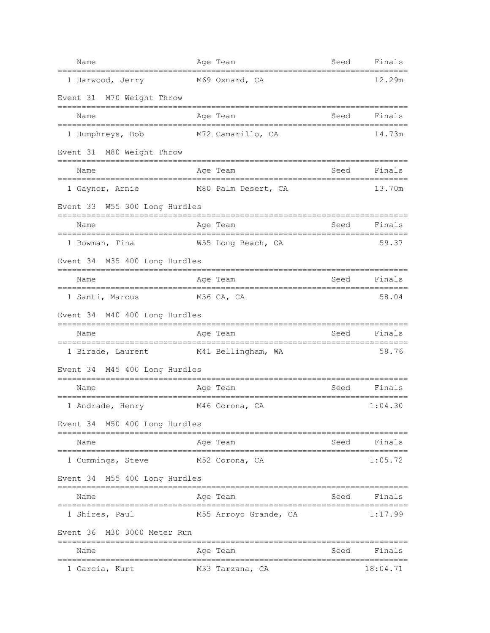| Name                                                       | Age Team                 | Seed | Finals   |
|------------------------------------------------------------|--------------------------|------|----------|
| 1 Harwood, Jerry                                           | M69 Oxnard, CA           |      | 12.29m   |
| Event 31 M70 Weight Throw                                  |                          |      |          |
| Name                                                       | Age Team                 | Seed | Finals   |
| 1 Humphreys, Bob                                           | M72 Camarillo, CA        |      | 14.73m   |
| Event 31 M80 Weight Throw                                  |                          |      |          |
| Name                                                       | Age Team                 | Seed | Finals   |
| 1 Gaynor, Arnie                                            | M80 Palm Desert, CA      |      | 13.70m   |
| Event 33 W55 300 Long Hurdles                              |                          |      |          |
| Name<br>=====================                              | Age Team                 | Seed | Finals   |
| 1 Bowman, Tina                                             | W55 Long Beach, CA       |      | 59.37    |
| Event 34 M35 400 Long Hurdles                              |                          |      |          |
| Name                                                       | Age Team                 | Seed | Finals   |
| 1 Santi, Marcus M36 CA, CA                                 |                          |      | 58.04    |
| Event 34 M40 400 Long Hurdles                              |                          |      |          |
| Name                                                       | Age Team                 | Seed | Finals   |
| 1 Birade, Laurent M41 Bellingham, WA                       |                          |      | 58.76    |
| Event 34 M45 400 Long Hurdles<br>========================= |                          |      |          |
| Name<br>:===================                               | Age Team<br>------------ | Seed | Finals   |
| 1 Andrade, Henry                                           | M46 Corona, CA           |      | 1:04.30  |
| Event 34 M50 400 Long Hurdles                              |                          |      |          |
| Name                                                       | Age Team                 | Seed | Finals   |
| 1 Cummings, Steve                                          | M52 Corona, CA           |      | 1:05.72  |
| Event 34 M55 400 Long Hurdles                              |                          |      |          |
| Name                                                       | Age Team                 | Seed | Finals   |
| 1 Shires, Paul                                             | M55 Arroyo Grande, CA    |      | 1:17.99  |
| Event 36 M30 3000 Meter Run                                |                          |      |          |
| Name                                                       | Age Team                 | Seed | Finals   |
| 1 Garcia, Kurt                                             | M33 Tarzana, CA          |      | 18:04.71 |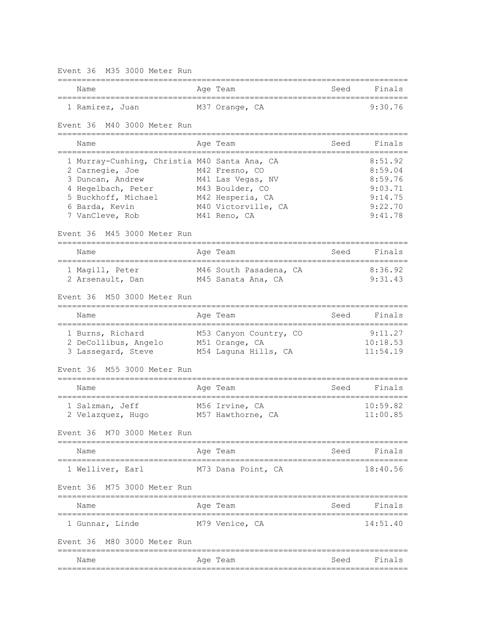Event 36 M35 3000 Meter Run ========================================================================= Name Register Age Team Name Seed Finals ========================================================================= 1 Ramirez, Juan M37 Orange, CA 9:30.76 Event 36 M40 3000 Meter Run ========================================================================= Name **Age Team** Age Team Seed Finals ========================================================================= 1 Murray-Cushing, Christia M40 Santa Ana, CA 8:51.92 2 Carnegie, Joe M42 Fresno, CO 8:59.04 3 Duncan, Andrew M41 Las Vegas, NV 8:59.76 4 Hegelbach, Peter M43 Boulder, CO 9:03.71 5 Buckhoff, Michael M42 Hesperia, CA 9:14.75 6 Barda, Kevin M40 Victorville, CA 9:22.70 7 VanCleve, Rob M41 Reno, CA 9:41.78 Event 36 M45 3000 Meter Run ========================================================================= Name **Age Team** Age Team Seed Finals ========================================================================= 1 Magill, Peter M46 South Pasadena, CA 8:36.92 2 Arsenault, Dan M45 Sanata Ana, CA 9:31.43 Event 36 M50 3000 Meter Run ========================================================================= Name **Age Team** Age Team Seed Finals ========================================================================= 1 Burns, Richard M53 Canyon Country, CO 9:11.27 2 DeCollibus, Angelo M51 Orange, CA 10:18.53 3 Lassegard, Steve M54 Laguna Hills, CA 11:54.19 Event 36 M55 3000 Meter Run ========================================================================= Name **Age Team** Age Team Seed Finals ========================================================================= 1 Salzman, Jeff M56 Irvine, CA 10:59.82 2 Velazquez, Hugo M57 Hawthorne, CA 11:00.85 Event 36 M70 3000 Meter Run ========================================================================= Name **Age Team** Age Team Seed Finals ========================================================================= 1 Welliver, Earl M73 Dana Point, CA 18:40.56 Event 36 M75 3000 Meter Run ========================================================================= Name **Age Team** Age Team Seed Finals ========================================================================= 1 Gunnar, Linde M79 Venice, CA 14:51.40 Event 36 M80 3000 Meter Run ========================================================================= Name **Age Team** Age Team Seed Finals =========================================================================